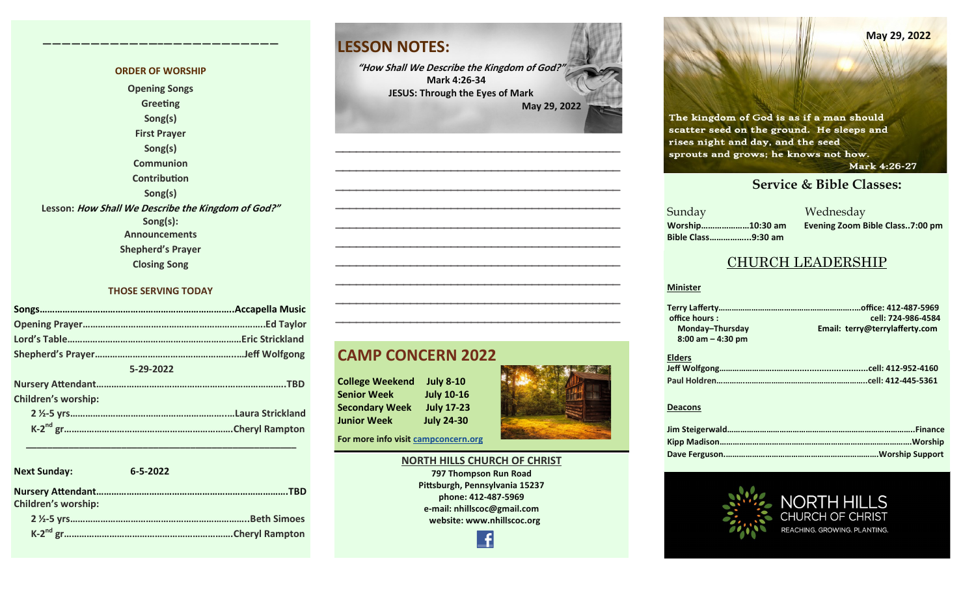#### **ORDER OF WORSHIP Opening Songs Greeting Song(s) First Prayer Song(s) Communion Contribution Song(s) Lesson: How Shall We Describe the Kingdom of God?" Song(s): Announcements Shepherd's Prayer Closing Song**

**————————————–————————————**

#### **THOSE SERVING TODAY**

| 5-29-2022                  |  |
|----------------------------|--|
|                            |  |
| <b>Children's worship:</b> |  |
|                            |  |
|                            |  |

| <b>Next Sunday:</b>        | $6 - 5 - 2022$     |
|----------------------------|--------------------|
| <b>Children's worship:</b> | .TRD               |
|                            | <b>Beth Simoes</b> |
|                            | Cheryl Rampton     |

 **\_\_\_\_\_\_\_\_\_\_\_\_\_\_\_\_\_\_\_\_\_\_\_\_\_\_\_\_\_\_\_\_\_\_\_\_\_\_\_\_\_\_\_\_\_\_\_\_\_\_\_**

### **LESSON NOTES:**

**"How Shall We Describe the Kingdom of God?" Mark 4:26-34 JESUS: Through the Eyes of Mark May 29, 2022**



### **CAMP CONCERN 2022**

**College Weekend July 8-10 Senior Week July 10-16 Secondary Week July 17-23 Junior Week July 24-30**



**For more info visit [campconcern.org](http://campconcern.org)**

**NORTH HILLS CHURCH OF CHRIST 797 Thompson Run Road Pittsburgh, Pennsylvania 15237 phone: 412-487-5969 e-mail: nhillscoc@gmail.com website: www.nhillscoc.org** 



rises night and day, and the seed sprouts and grows; he knows not how. **April 4, 2021 Service & Bible Classes:**<br>
Medeeder

The kingdom of God is as if a man should scatter seed on the ground. He sleeps and

**December 24, 2017 January 24, 2017 March 18, 2018 January 28, 2018 February 4, 2018 January 21, 2018 Sunday** Sunday Wednesday **Bible Class……………...9:30 am**

**April 22, 2018**

**Worship…………………10:30 am Evening Zoom Bible Class..7:00 pm**

**October 29, 2017 November 5, 2017 November 12, 2017 November 26, 2017 December 17, 2017**

Mark 4:26-27

**December 29, 2019 February 9, 2020 January 26, 2020 February 23, 2020**

#### CHURCH LEADERSHIP

#### **Minister**

| office hours :       | cell: 724-986-4584             |
|----------------------|--------------------------------|
| Monday-Thursday      | Email: terry@terrylafferty.com |
| $8:00$ am $-4:30$ pm |                                |

| <b>Elders</b> |  |
|---------------|--|
|               |  |
|               |  |

#### **Deacons**



#### **March 24, 2019 May 17, 2020 December 6, 2020 March 7, 2021 May 9, 2021 May 29, 2022January 30, 2022 November 7, 2021**

JORTH HII